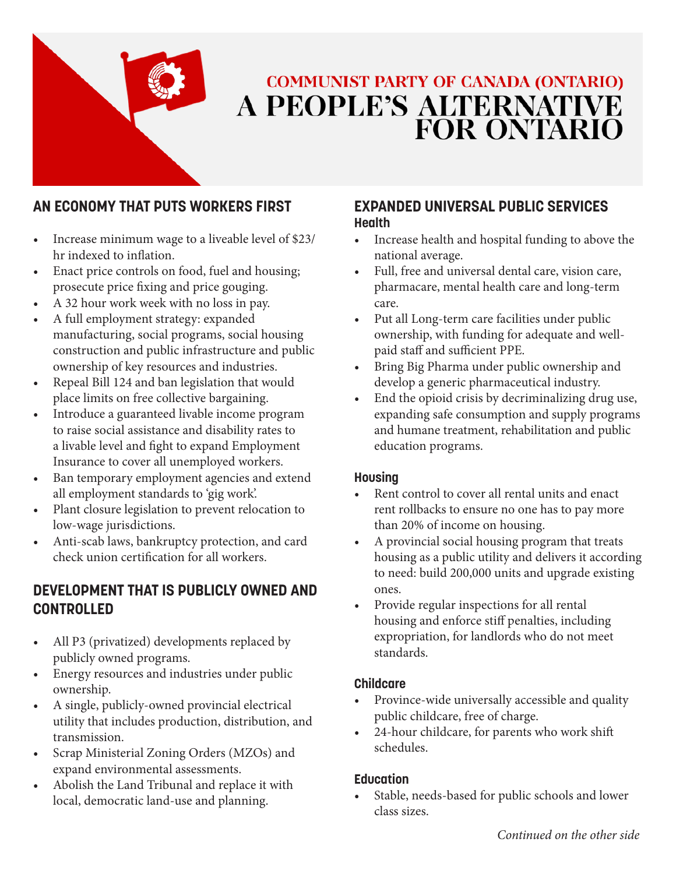

# **COMMUNIST PARTY OF CANADA (ONTARIO)** A PEOPLE'S ALTERNATIVE<br>FOR ONTARIO

# **AN ECONOMY THAT PUTS WORKERS FIRST**

- Increase minimum wage to a liveable level of \$23/ hr indexed to inflation.
- Enact price controls on food, fuel and housing; prosecute price fixing and price gouging.
- A 32 hour work week with no loss in pay.
- A full employment strategy: expanded manufacturing, social programs, social housing construction and public infrastructure and public ownership of key resources and industries.
- Repeal Bill 124 and ban legislation that would place limits on free collective bargaining.
- Introduce a guaranteed livable income program to raise social assistance and disability rates to a livable level and fight to expand Employment Insurance to cover all unemployed workers.
- Ban temporary employment agencies and extend all employment standards to 'gig work'.
- Plant closure legislation to prevent relocation to low-wage jurisdictions.
- Anti-scab laws, bankruptcy protection, and card check union certification for all workers.

# **DEVELOPMENT THAT IS PUBLICLY OWNED AND CONTROLLED**

- All P3 (privatized) developments replaced by publicly owned programs.
- Energy resources and industries under public ownership.
- A single, publicly-owned provincial electrical utility that includes production, distribution, and transmission.
- Scrap Ministerial Zoning Orders (MZOs) and expand environmental assessments.
- Abolish the Land Tribunal and replace it with local, democratic land-use and planning.

#### **EXPANDED UNIVERSAL PUBLIC SERVICES Health**

- Increase health and hospital funding to above the national average.
- Full, free and universal dental care, vision care, pharmacare, mental health care and long-term care.
- Put all Long-term care facilities under public ownership, with funding for adequate and wellpaid staff and sufficient PPE.
- Bring Big Pharma under public ownership and develop a generic pharmaceutical industry.
- End the opioid crisis by decriminalizing drug use, expanding safe consumption and supply programs and humane treatment, rehabilitation and public education programs.

#### **Housing**

- Rent control to cover all rental units and enact rent rollbacks to ensure no one has to pay more than 20% of income on housing.
- A provincial social housing program that treats housing as a public utility and delivers it according to need: build 200,000 units and upgrade existing ones.
- Provide regular inspections for all rental housing and enforce stiff penalties, including expropriation, for landlords who do not meet standards.

#### **Childcare**

- Province-wide universally accessible and quality public childcare, free of charge.
- 24-hour childcare, for parents who work shift schedules.

#### **Education**

Stable, needs-based for public schools and lower class sizes.